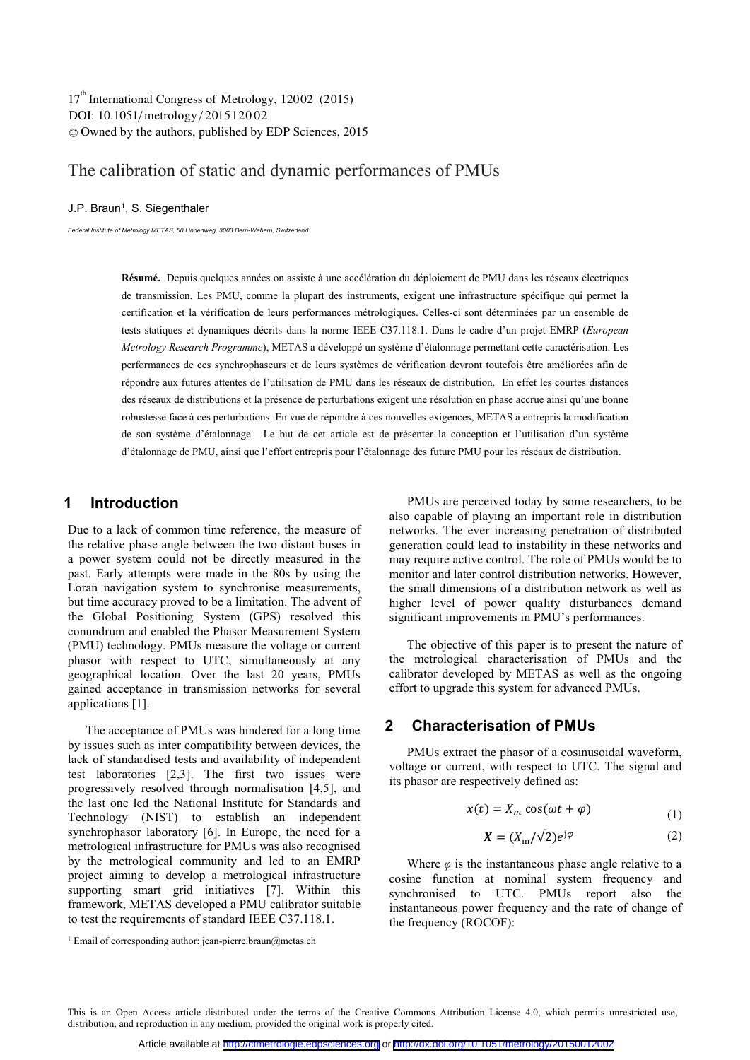# The calibration of static and dynamic performances of PMUs

#### J.P. Braun<sup>1</sup>, S. Siegenthaler

*Federal Institute of Metrology METAS, 50 Lindenweg, 3003 Bern-Wabern, Switzerland* 

**Résumé.** Depuis quelques années on assiste à une accélération du déploiement de PMU dans les réseaux électriques de transmission. Les PMU, comme la plupart des instruments, exigent une infrastructure spécifique qui permet la certification et la vérification de leurs performances métrologiques. Celles-ci sont déterminées par un ensemble de tests statiques et dynamiques décrits dans la norme IEEE C37.118.1. Dans le cadre d'un projet EMRP (*European Metrology Research Programme*), METAS a développé un système d'étalonnage permettant cette caractérisation. Les performances de ces synchrophaseurs et de leurs systèmes de vérification devront toutefois être améliorées afin de répondre aux futures attentes de l'utilisation de PMU dans les réseaux de distribution. En effet les courtes distances des réseaux de distributions et la présence de perturbations exigent une résolution en phase accrue ainsi qu'une bonne robustesse face à ces perturbations. En vue de répondre à ces nouvelles exigences, METAS a entrepris la modification de son système d'étalonnage. Le but de cet article est de présenter la conception et l'utilisation d'un système d'étalonnage de PMU, ainsi que l'effort entrepris pour l'étalonnage des future PMU pour les réseaux de distribution.

# **1 Introduction**

Due to a lack of common time reference, the measure of the relative phase angle between the two distant buses in a power system could not be directly measured in the past. Early attempts were made in the 80s by using the Loran navigation system to synchronise measurements, but time accuracy proved to be a limitation. The advent of the Global Positioning System (GPS) resolved this conundrum and enabled the Phasor Measurement System (PMU) technology. PMUs measure the voltage or current phasor with respect to UTC, simultaneously at any geographical location. Over the last 20 years, PMUs gained acceptance in transmission networks for several applications [1].

The acceptance of PMUs was hindered for a long time by issues such as inter compatibility between devices, the lack of standardised tests and availability of independent test laboratories [2,3]. The first two issues were progressively resolved through normalisation [4,5], and the last one led the National Institute for Standards and Technology (NIST) to establish an independent synchrophasor laboratory [6]. In Europe, the need for a metrological infrastructure for PMUs was also recognised by the metrological community and led to an EMRP project aiming to develop a metrological infrastructure supporting smart grid initiatives [7]. Within this framework, METAS developed a PMU calibrator suitable to test the requirements of standard IEEE C37.118.1.

PMUs are perceived today by some researchers, to be also capable of playing an important role in distribution networks. The ever increasing penetration of distributed generation could lead to instability in these networks and may require active control. The role of PMUs would be to monitor and later control distribution networks. However, the small dimensions of a distribution network as well as higher level of power quality disturbances demand significant improvements in PMU's performances.

The objective of this paper is to present the nature of the metrological characterisation of PMUs and the calibrator developed by METAS as well as the ongoing effort to upgrade this system for advanced PMUs.

# **2 Characterisation of PMUs**

PMUs extract the phasor of a cosinusoidal waveform, voltage or current, with respect to UTC. The signal and its phasor are respectively defined as:

$$
x(t) = X_m \cos(\omega t + \varphi)
$$
 (1)

$$
X = (X_{\rm m}/\sqrt{2})e^{j\varphi} \tag{2}
$$

Where  $\varphi$  is the instantaneous phase angle relative to a cosine function at nominal system frequency and synchronised to UTC. PMUs report also the instantaneous power frequency and the rate of change of the frequency (ROCOF):

<sup>&</sup>lt;sup>1</sup> Email of corresponding author: jean-pierre.braun@metas.ch

This is an Open Access article distributed under the terms of the Creative Commons Attribution License 4.0, which permits unrestricted use, distribution, and reproduction in any medium, provided the original work is properly cited.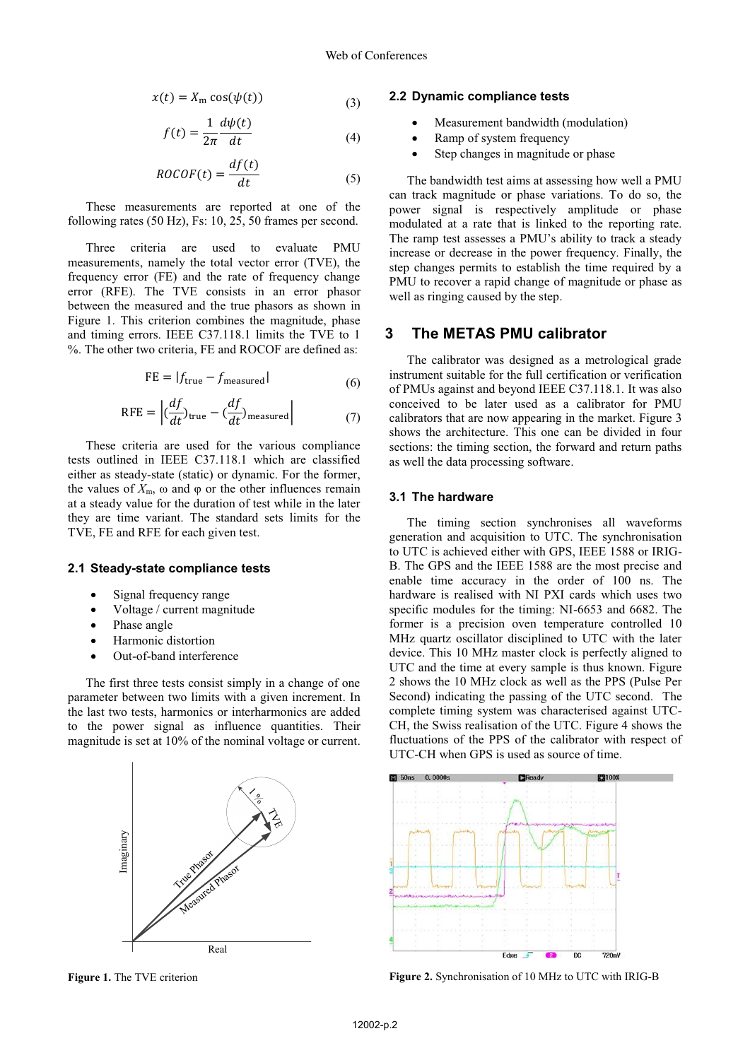$$
x(t) = X_m \cos(\psi(t))
$$
 (3)

$$
f(t) = \frac{1}{2\pi} \frac{d\psi(t)}{dt}
$$
 (4)

$$
ROCOF(t) = \frac{df(t)}{dt}
$$
 (5)

These measurements are reported at one of the following rates (50 Hz), Fs: 10, 25, 50 frames per second.

Three criteria are used to evaluate PMU measurements, namely the total vector error (TVE), the frequency error (FE) and the rate of frequency change error (RFE). The TVE consists in an error phasor between the measured and the true phasors as shown in Figure 1. This criterion combines the magnitude, phase and timing errors. IEEE C37.118.1 limits the TVE to 1 %. The other two criteria, FE and ROCOF are defined as:

$$
FE = |f_{true} - f_{measured}|
$$
\n(6)

$$
RFE = \left| \left( \frac{df}{dt} \right)_{true} - \left( \frac{df}{dt} \right)_{measured} \right| \tag{7}
$$

These criteria are used for the various compliance tests outlined in IEEE C37.118.1 which are classified either as steady-state (static) or dynamic. For the former, the values of  $X_{\text{m}}$ , ω and φ or the other influences remain at a steady value for the duration of test while in the later they are time variant. The standard sets limits for the TVE, FE and RFE for each given test.

#### **2.1 Steady-state compliance tests**

- -Signal frequency range
- -Voltage / current magnitude
- -Phase angle
- -Harmonic distortion
- -Out-of-band interference

The first three tests consist simply in a change of one parameter between two limits with a given increment. In the last two tests, harmonics or interharmonics are added to the power signal as influence quantities. Their magnitude is set at 10% of the nominal voltage or current.



**Figure 1.** The TVE criterion

## **2.2 Dynamic compliance tests**

- -Measurement bandwidth (modulation)
- -Ramp of system frequency
- -Step changes in magnitude or phase

The bandwidth test aims at assessing how well a PMU can track magnitude or phase variations. To do so, the power signal is respectively amplitude or phase modulated at a rate that is linked to the reporting rate. The ramp test assesses a PMU's ability to track a steady increase or decrease in the power frequency. Finally, the step changes permits to establish the time required by a PMU to recover a rapid change of magnitude or phase as well as ringing caused by the step.

## **3 The METAS PMU calibrator**

The calibrator was designed as a metrological grade instrument suitable for the full certification or verification of PMUs against and beyond IEEE C37.118.1. It was also conceived to be later used as a calibrator for PMU calibrators that are now appearing in the market. Figure 3 shows the architecture. This one can be divided in four sections: the timing section, the forward and return paths as well the data processing software.

### **3.1 The hardware**

The timing section synchronises all waveforms generation and acquisition to UTC. The synchronisation to UTC is achieved either with GPS, IEEE 1588 or IRIG-B. The GPS and the IEEE 1588 are the most precise and enable time accuracy in the order of 100 ns. The hardware is realised with NI PXI cards which uses two specific modules for the timing: NI-6653 and 6682. The former is a precision oven temperature controlled 10 MHz quartz oscillator disciplined to UTC with the later device. This 10 MHz master clock is perfectly aligned to UTC and the time at every sample is thus known. Figure 2 shows the 10 MHz clock as well as the PPS (Pulse Per Second) indicating the passing of the UTC second. The complete timing system was characterised against UTC-CH, the Swiss realisation of the UTC. Figure 4 shows the fluctuations of the PPS of the calibrator with respect of UTC-CH when GPS is used as source of time.



**Figure 2.** Synchronisation of 10 MHz to UTC with IRIG-B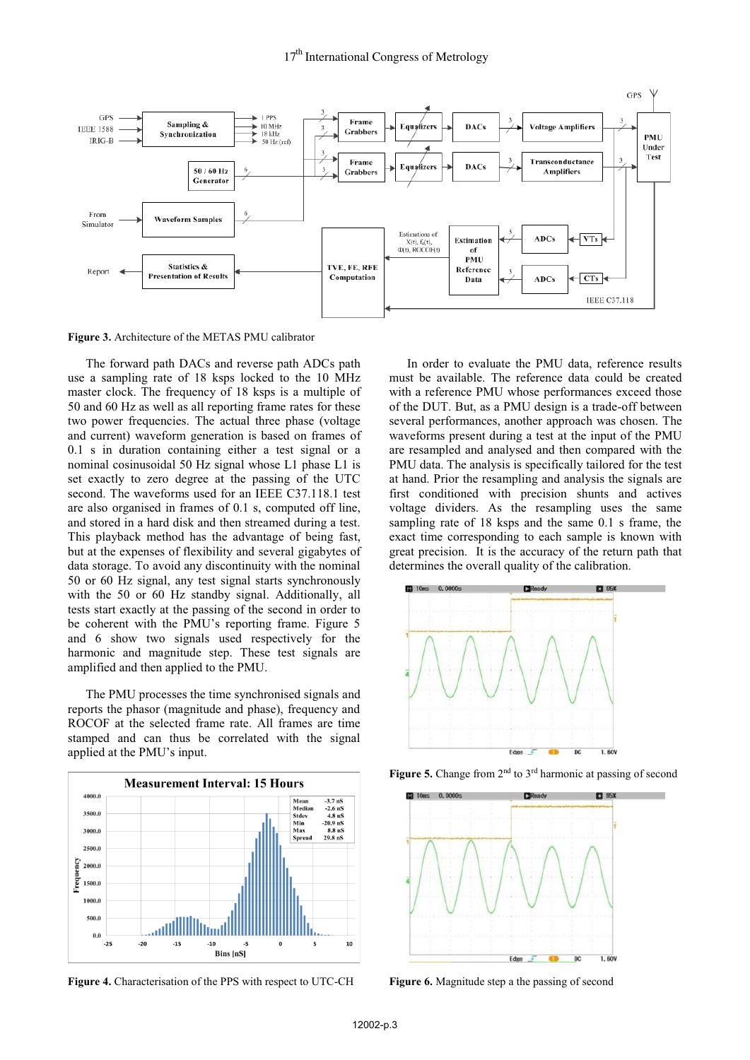

**Figure 3.** Architecture of the METAS PMU calibrator

The forward path DACs and reverse path ADCs path use a sampling rate of 18 ksps locked to the 10 MHz master clock. The frequency of 18 ksps is a multiple of 50 and 60 Hz as well as all reporting frame rates for these two power frequencies. The actual three phase (voltage and current) waveform generation is based on frames of 0.1 s in duration containing either a test signal or a nominal cosinusoidal 50 Hz signal whose L1 phase L1 is set exactly to zero degree at the passing of the UTC second. The waveforms used for an IEEE C37.118.1 test are also organised in frames of 0.1 s, computed off line, and stored in a hard disk and then streamed during a test. This playback method has the advantage of being fast, but at the expenses of flexibility and several gigabytes of data storage. To avoid any discontinuity with the nominal 50 or 60 Hz signal, any test signal starts synchronously with the 50 or 60 Hz standby signal. Additionally, all tests start exactly at the passing of the second in order to be coherent with the PMU's reporting frame. Figure 5 and 6 show two signals used respectively for the harmonic and magnitude step. These test signals are amplified and then applied to the PMU.

The PMU processes the time synchronised signals and reports the phasor (magnitude and phase), frequency and ROCOF at the selected frame rate. All frames are time stamped and can thus be correlated with the signal applied at the PMU's input.



**Figure 4.** Characterisation of the PPS with respect to UTC-CH

In order to evaluate the PMU data, reference results must be available. The reference data could be created with a reference PMU whose performances exceed those of the DUT. But, as a PMU design is a trade-off between several performances, another approach was chosen. The waveforms present during a test at the input of the PMU are resampled and analysed and then compared with the PMU data. The analysis is specifically tailored for the test at hand. Prior the resampling and analysis the signals are first conditioned with precision shunts and actives voltage dividers. As the resampling uses the same sampling rate of 18 ksps and the same 0.1 s frame, the exact time corresponding to each sample is known with great precision. It is the accuracy of the return path that determines the overall quality of the calibration.



Figure 5. Change from 2<sup>nd</sup> to 3<sup>rd</sup> harmonic at passing of second



**Figure 6.** Magnitude step a the passing of second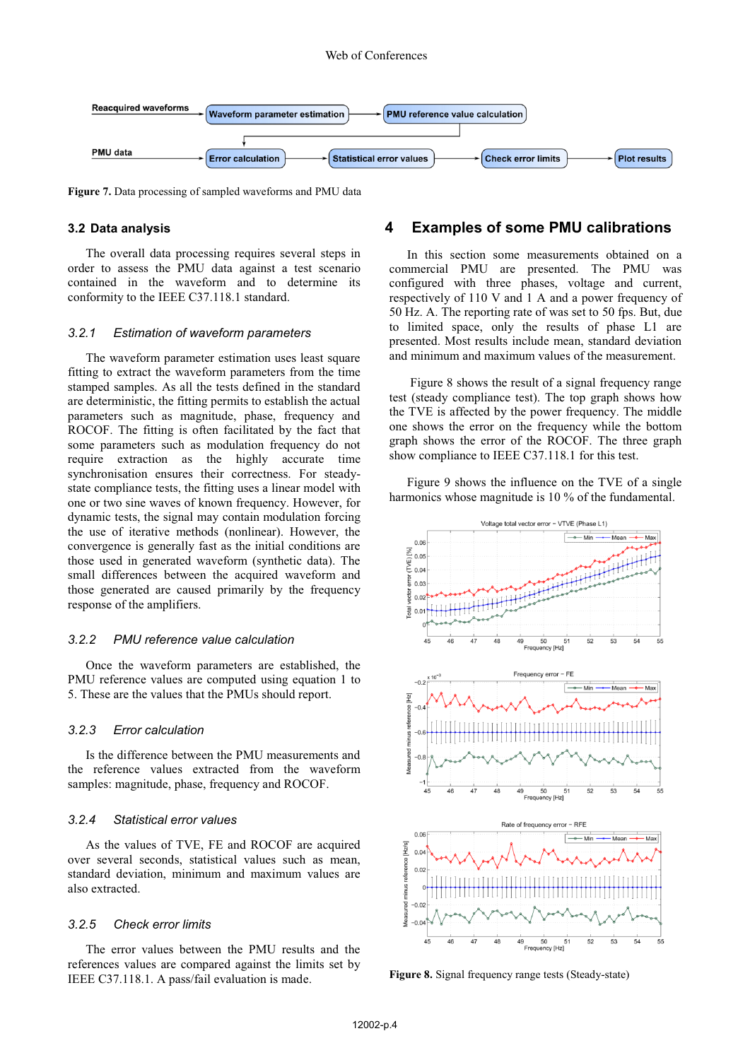

**Figure 7.** Data processing of sampled waveforms and PMU data

#### **3.2 Data analysis**

The overall data processing requires several steps in order to assess the PMU data against a test scenario contained in the waveform and to determine its conformity to the IEEE C37.118.1 standard.

#### *3.2.1 Estimation of waveform parameters*

The waveform parameter estimation uses least square fitting to extract the waveform parameters from the time stamped samples. As all the tests defined in the standard are deterministic, the fitting permits to establish the actual parameters such as magnitude, phase, frequency and ROCOF. The fitting is often facilitated by the fact that some parameters such as modulation frequency do not require extraction as the highly accurate time synchronisation ensures their correctness. For steadystate compliance tests, the fitting uses a linear model with one or two sine waves of known frequency. However, for dynamic tests, the signal may contain modulation forcing the use of iterative methods (nonlinear). However, the convergence is generally fast as the initial conditions are those used in generated waveform (synthetic data). The small differences between the acquired waveform and those generated are caused primarily by the frequency response of the amplifiers.

#### *3.2.2 PMU reference value calculation*

Once the waveform parameters are established, the PMU reference values are computed using equation 1 to 5. These are the values that the PMUs should report.

## *3.2.3 Error calculation*

Is the difference between the PMU measurements and the reference values extracted from the waveform samples: magnitude, phase, frequency and ROCOF.

## *3.2.4 Statistical error values*

As the values of TVE, FE and ROCOF are acquired over several seconds, statistical values such as mean, standard deviation, minimum and maximum values are also extracted.

### *3.2.5 Check error limits*

The error values between the PMU results and the references values are compared against the limits set by IEEE C37.118.1. A pass/fail evaluation is made.

# **4 Examples of some PMU calibrations**

In this section some measurements obtained on a commercial PMU are presented. The PMU was configured with three phases, voltage and current, respectively of 110 V and 1 A and a power frequency of 50 Hz. A. The reporting rate of was set to 50 fps. But, due to limited space, only the results of phase L1 are presented. Most results include mean, standard deviation and minimum and maximum values of the measurement.

 Figure 8 shows the result of a signal frequency range test (steady compliance test). The top graph shows how the TVE is affected by the power frequency. The middle one shows the error on the frequency while the bottom graph shows the error of the ROCOF. The three graph show compliance to IEEE C37.118.1 for this test.

Figure 9 shows the influence on the TVE of a single harmonics whose magnitude is 10 % of the fundamental.



**Figure 8.** Signal frequency range tests (Steady-state)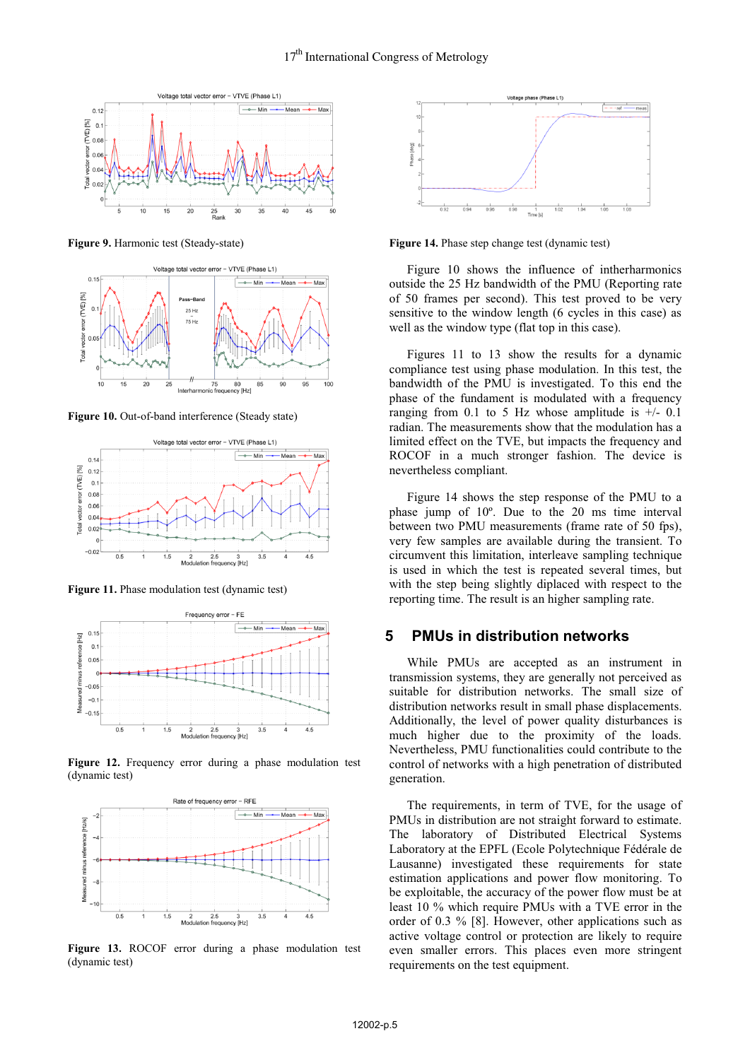

**Figure 9.** Harmonic test (Steady-state)



**Figure 10.** Out-of-band interference (Steady state)



**Figure 11.** Phase modulation test (dynamic test)



Figure 12. Frequency error during a phase modulation test (dynamic test)



**Figure 13.** ROCOF error during a phase modulation test (dynamic test)



**Figure 14.** Phase step change test (dynamic test)

Figure 10 shows the influence of intherharmonics outside the 25 Hz bandwidth of the PMU (Reporting rate of 50 frames per second). This test proved to be very sensitive to the window length (6 cycles in this case) as well as the window type (flat top in this case).

Figures 11 to 13 show the results for a dynamic compliance test using phase modulation. In this test, the bandwidth of the PMU is investigated. To this end the phase of the fundament is modulated with a frequency ranging from 0.1 to 5 Hz whose amplitude is  $+/- 0.1$ radian. The measurements show that the modulation has a limited effect on the TVE, but impacts the frequency and ROCOF in a much stronger fashion. The device is nevertheless compliant.

Figure 14 shows the step response of the PMU to a phase jump of 10º. Due to the 20 ms time interval between two PMU measurements (frame rate of 50 fps), very few samples are available during the transient. To circumvent this limitation, interleave sampling technique is used in which the test is repeated several times, but with the step being slightly diplaced with respect to the reporting time. The result is an higher sampling rate.

## **5 PMUs in distribution networks**

While PMUs are accepted as an instrument in transmission systems, they are generally not perceived as suitable for distribution networks. The small size of distribution networks result in small phase displacements. Additionally, the level of power quality disturbances is much higher due to the proximity of the loads. Nevertheless, PMU functionalities could contribute to the control of networks with a high penetration of distributed generation.

The requirements, in term of TVE, for the usage of PMUs in distribution are not straight forward to estimate. The laboratory of Distributed Electrical Systems Laboratory at the EPFL (Ecole Polytechnique Fédérale de Lausanne) investigated these requirements for state estimation applications and power flow monitoring. To be exploitable, the accuracy of the power flow must be at least 10 % which require PMUs with a TVE error in the order of 0.3 % [8]. However, other applications such as active voltage control or protection are likely to require even smaller errors. This places even more stringent requirements on the test equipment.